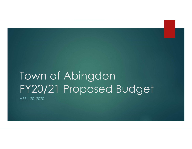### Town of Abingdon FY20/21 Proposed Budget

APRIL 20, 2020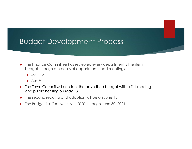#### Budget Development Process

- ▶ The Finance Committee has reviewed every department's line item budget through a process of department head meetings
	- $\blacktriangleright$  March 31
	- $\blacktriangleright$  April 9
- ▶ The Town Council will consider the advertised budget with a first reading and public hearing on May 18
- ▶ The second reading and adoption will be on June 15
- ▶ The Budget is effective July 1, 2020, through June 30, 2021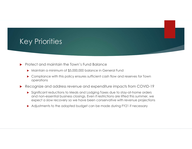#### Key Priorities

- **Protect and maintain the Town's Fund Balance** 
	- Maintain a minimum of \$5,000,000 balance in General Fund
	- ▶ Compliance with this policy ensures sufficient cash flow and reserves for Town operations
- Recognize and address revenue and expenditure impacts from COVID-19
	- Significant reductions to Meals and Lodging Taxes due to stay-at-home orders and non-essential business closings. Even if restrictions are lifted this summer, we expect a slow recovery so we have been conservative with revenue projections
	- Adjustments to the adopted budget can be made during FY21 if necessary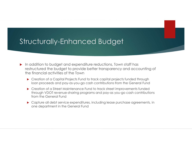#### Structurally-Enhanced Budget

- In addition to budget and expenditure reductions, Town staff has restructured the budget to provide better transparency and accounting of the financial activities of the Town
	- ▶ Creation of a Capital Projects Fund to track capital projects funded through loan proceeds and pay-as-you-go cash contributions from the General Fund
	- ▶ Creation of a Street Maintenance Fund to track street improvements funded through VDOT revenue-sharing programs and pay-as you-go cash contributions from the General Fund
	- Capture all debt service expenditures, including lease purchase agreements, in one department in the General Fund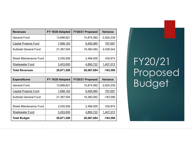| <b>Revenues</b>                                          | FY 19/20 Adopted       | FY20/21 Proposed       | <b>Variance</b>      |                     |
|----------------------------------------------------------|------------------------|------------------------|----------------------|---------------------|
| <b>General Fund</b>                                      | 13,698,821             | 10,874,582             | $-2,824,239$         |                     |
| <b>Capital Projects Fund</b>                             | 7,688,183              | 8,485,880              | 797,697              |                     |
| <b>Subtotal General Fund</b>                             | 21,387,004             | 19,360,462             | $-2,026,542$         |                     |
| <b>Street Maintenance Fund</b>                           | 2,030,626              | 2,466,500              | 435,874              |                     |
| <b>Wastewater Fund</b>                                   | 3,453,650              | 4,860,722              | 1,407,072            |                     |
| <b>Total Revenues</b>                                    | 26,871,280             | 26,687,684             | $-183,596$           | FY20/21<br>Proposed |
| <b>Expenditures</b>                                      | FY 19/20 Adopted       | FY20/21 Proposed       | <b>Variance</b>      |                     |
| <b>General Fund</b>                                      | 13,698,821             | 10,874,582             | $-2,824,239$         | <b>Budget</b>       |
| <b>Capital Projects Fund</b>                             | 7,688,183              | 8,485,880              | 797,697              |                     |
| <b>Subtotal General Fund</b>                             | 21,387,004             | 19,360,462             | $-183,596$           |                     |
|                                                          |                        |                        |                      |                     |
| <b>Street Maintenance Fund</b><br><b>Wastewater Fund</b> | 2,030,626<br>3.453.650 | 2,466,500<br>4.860.722 | 435,874<br>1.407.072 |                     |

| <u>Capital Projects Fund</u>   | <u>688,183</u> , | <u>8,485,880</u> | <u>797,697</u>  |
|--------------------------------|------------------|------------------|-----------------|
| <b>Subtotal General Fund</b>   | 21,387,004       | 19,360,462       | $-2,026,542$    |
|                                |                  |                  |                 |
| <b>Street Maintenance Fund</b> | 2,030,626        | 2,466,500        | 435,874         |
| <b>Wastewater Fund</b>         | 3,453,650        | 4,860,722        | 1,407,072       |
| <b>Total Revenues</b>          | 26,871,280       | 26,687,684       | $-183,596$      |
|                                |                  |                  |                 |
| <b>Expenditures</b>            | FY 19/20 Adopted | FY20/21 Proposed | <b>Variance</b> |
| <b>General Fund</b>            | 13,698,821       | 10,874,582       | $-2,824,239$    |
| <b>Capital Projects Fund</b>   | 7,688,183        | 8,485,880        | 797,697         |
| <b>Subtotal General Fund</b>   | 21,387,004       | 19,360,462       | $-183,596$      |
|                                |                  |                  |                 |
|                                |                  |                  |                 |
| <b>Street Maintenance Fund</b> | 2,030,626        | 2,466,500        | 435,874         |
| <b>Wastewater Fund</b>         | 3,453,650        | 4,860,722        | 1,407,072       |

Proposed Budget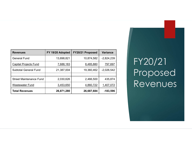| <b>Revenues</b>                | FY 19/20 Adopted | FY20/21 Proposed | <b>Variance</b> |          |
|--------------------------------|------------------|------------------|-----------------|----------|
| <b>General Fund</b>            | 13,698,821       | 10,874,582       | $-2,824,239$    |          |
| <b>Capital Projects Fund</b>   | 7,688,183        | 8,485,880        | 797,697         | FY20/21  |
| <b>Subtotal General Fund</b>   | 21,387,004       | 19,360,462       | $-2,026,542$    |          |
| <b>Street Maintenance Fund</b> | 2,030,626        | 2,466,500        | 435,874         | Proposed |
| <b>Wastewater Fund</b>         | 3,453,650        | 4,860,722        | 1,407,072       | Revenues |

FY20/21 Proposed Revenues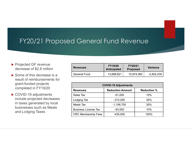#### FY20/21 Proposed General Fund Revenue

- ▶ Projected GF revenue decrease of \$2.8 million
- ▶ Some of this decrease is a result of reimbursements for grant-funded projects completed in FY19/20
- COVID-19 adjustments include projected decreases in taxes generated by local businesses such as Meals and Lodging Taxes

| d General Fund Revenue<br><b>FY19/20</b><br>FY20/21<br><b>Variance</b><br><b>Revenues</b><br><b>Anticipated</b><br><b>Proposed</b><br>13,698,821<br>10,874,582<br><b>General Fund</b><br>$-2,824,239$<br><b>COVID-19 Adjustments</b> |  |  |  |
|--------------------------------------------------------------------------------------------------------------------------------------------------------------------------------------------------------------------------------------|--|--|--|
|                                                                                                                                                                                                                                      |  |  |  |
|                                                                                                                                                                                                                                      |  |  |  |
|                                                                                                                                                                                                                                      |  |  |  |
|                                                                                                                                                                                                                                      |  |  |  |
|                                                                                                                                                                                                                                      |  |  |  |
|                                                                                                                                                                                                                                      |  |  |  |
|                                                                                                                                                                                                                                      |  |  |  |

| d General Fund Revenue      |                             |                 |  |                    |  |           |  |  |
|-----------------------------|-----------------------------|-----------------|--|--------------------|--|-----------|--|--|
|                             |                             |                 |  |                    |  |           |  |  |
|                             |                             |                 |  |                    |  |           |  |  |
|                             | FY19/20                     | FY20/21         |  |                    |  |           |  |  |
| <b>Revenues</b>             | <b>Anticipated</b>          | <b>Proposed</b> |  | <b>Variance</b>    |  |           |  |  |
| <b>General Fund</b>         | 13,698,821                  | 10,874,582      |  | $-2,824,239$       |  |           |  |  |
|                             |                             |                 |  |                    |  |           |  |  |
|                             | <b>COVID-19 Adjustments</b> |                 |  |                    |  |           |  |  |
| <b>Revenues</b>             | <b>Reduction Amount</b>     |                 |  | <b>Reduction %</b> |  |           |  |  |
| Sales Tax                   | $-51,000$                   |                 |  | 10%                |  |           |  |  |
| Lodging Tax                 | $-313,250$                  |                 |  | 35%                |  |           |  |  |
|                             | $-1,106,700$                |                 |  | 35%                |  |           |  |  |
| <b>Meals Tax</b>            |                             | 10%             |  |                    |  | $-93,550$ |  |  |
| <b>Business License Tax</b> |                             |                 |  |                    |  |           |  |  |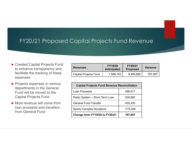#### FY20/21 Proposed Capital Projects Fund Revenue

- ▶ Created Capital Projects Fund to enhance transparency and facilitate the tracking of these expenses
- **Projects expenses in various** departments in the General Fund will be moved to the Capital Projects Fund
- Most revenue will come from loan proceeds and transfers from General Fund

| Capital Projects Fund Revenue                       |                               |                            |                 |  |
|-----------------------------------------------------|-------------------------------|----------------------------|-----------------|--|
|                                                     |                               |                            |                 |  |
|                                                     |                               |                            |                 |  |
|                                                     |                               |                            |                 |  |
| <b>Revenues</b>                                     | FY19/20<br><b>Anticipated</b> | FY20/21<br><b>Proposed</b> | <b>Variance</b> |  |
| <b>Capital Projects Fund</b>                        | 7,688,183                     | 8,485,880                  | 797,697         |  |
|                                                     |                               |                            |                 |  |
| <b>Capital Projects Fund Revenue Reconciliation</b> |                               |                            |                 |  |
|                                                     |                               |                            |                 |  |

| Capital Projects Fund Revenue                       |                                |                            |                 |
|-----------------------------------------------------|--------------------------------|----------------------------|-----------------|
| <b>Revenues</b>                                     | <b>FY19/20</b><br>Anticipated  | FY20/21<br><b>Proposed</b> | <b>Variance</b> |
| <b>Capital Projects Fund</b>                        | 7,688,183                      | 8,485,880                  | 797,697         |
|                                                     |                                |                            |                 |
| <b>Capital Projects Fund Revenue Reconciliation</b> |                                |                            |                 |
| Loan Proceeds                                       |                                | 586,817                    |                 |
| Radio System - Short Term Loan                      |                                | 530,680                    |                 |
| <b>General Fund Transfer</b>                        |                                | 455,200                    |                 |
| <b>Sports Complex Donations</b>                     |                                | $-775,000$                 |                 |
|                                                     | Change from FY19/20 to FY20/21 | 797,697                    |                 |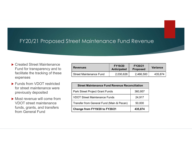#### FY20/21 Proposed Street Maintenance Fund Revenue

- ▶ Created Street Maintenance Fund for transparency and to facilitate the tracking of these expenses
- ▶ Funds from VDOT restricted for street maintenance were previously deposited
- Most revenue will come from VDOT street maintenance funds, grants, and transfers from General Fund

| reet Maintenance Fund Revenue                         |                                      |                            |                 |  |
|-------------------------------------------------------|--------------------------------------|----------------------------|-----------------|--|
|                                                       |                                      |                            |                 |  |
| <b>Revenues</b>                                       | <b>FY19/20</b><br><b>Anticipated</b> | FY20/21<br><b>Proposed</b> | <b>Variance</b> |  |
| <b>Street Maintenance Fund</b>                        | 2,030,626                            | 2,466,500                  | 435,874         |  |
|                                                       |                                      |                            |                 |  |
| <b>Street Maintenance Fund Revenue Reconciliation</b> |                                      |                            |                 |  |
|                                                       |                                      |                            |                 |  |

| reet Maintenance Fund Revenue                         |                                      |                            |                 |
|-------------------------------------------------------|--------------------------------------|----------------------------|-----------------|
|                                                       |                                      |                            |                 |
|                                                       |                                      |                            |                 |
| <b>Revenues</b>                                       | <b>FY19/20</b><br><b>Anticipated</b> | FY20/21<br><b>Proposed</b> | <b>Variance</b> |
| <b>Street Maintenance Fund</b>                        | 2,030,626                            | 2,466,500                  | 435,874         |
|                                                       |                                      |                            |                 |
| <b>Street Maintenance Fund Revenue Reconciliation</b> |                                      |                            |                 |
| Park Street Project Grant Funds                       |                                      | 360,957                    |                 |
| <b>VDOT Street Maintenance Funds</b>                  |                                      | 24,917                     |                 |
| Transfer from General Fund (Main & Pecan)             |                                      | 50,000                     |                 |
|                                                       | Change from FY19/20 to FY20/21       | 435,874                    |                 |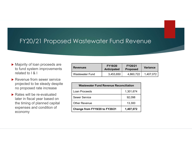#### FY20/21 Proposed Wastewater Fund Revenue

- ▶ Majority of loan proceeds are to fund system improvements related to I & I
- Revenue from sewer service projected to be steady despite no proposed rate increase
- ▶ Rates will be re-evaluated later in fiscal year based on the timing of planned capital expenses and condition of economy

| Wastewater Fund Revenue                       |                                      |                            |                 |  |  |
|-----------------------------------------------|--------------------------------------|----------------------------|-----------------|--|--|
|                                               |                                      |                            |                 |  |  |
|                                               |                                      |                            |                 |  |  |
|                                               |                                      |                            |                 |  |  |
| <b>Revenues</b>                               | <b>FY19/20</b><br><b>Anticipated</b> | FY20/21<br><b>Proposed</b> | <b>Variance</b> |  |  |
| <b>Wastewater Fund</b>                        | 3,453,650                            | 4,860,722                  | 1,407,072       |  |  |
|                                               |                                      |                            |                 |  |  |
|                                               |                                      |                            |                 |  |  |
| <b>Wastewater Fund Revenue Reconciliation</b> |                                      |                            |                 |  |  |

| Wastewater Fund Revenue |                                               |                            |                 |
|-------------------------|-----------------------------------------------|----------------------------|-----------------|
| <b>Revenues</b>         | FY19/20<br><b>Anticipated</b>                 | FY20/21<br><b>Proposed</b> | <b>Variance</b> |
| <b>Wastewater Fund</b>  | 3,453,650                                     | 4,860,722                  | 1,407,072       |
|                         |                                               |                            |                 |
|                         | <b>Wastewater Fund Revenue Reconciliation</b> |                            |                 |
| Loan Proceeds           |                                               | 1,301,674                  |                 |
| <b>Sewer Service</b>    |                                               | 92,098                     |                 |
| <b>Other Revenue</b>    |                                               | 13,300                     |                 |
|                         | Change from FY19/20 to FY20/21                | 1,407,072                  |                 |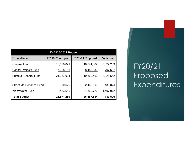|                                | FY 2020-2021 Budget |                  |              |
|--------------------------------|---------------------|------------------|--------------|
| Expenditures                   | FY 19/20 Adopted    | FY20/21 Proposed | Variance     |
| <b>General Fund</b>            | 13,698,821          | 10,874,582       | $-2,824,239$ |
| <b>Capital Projects Fund</b>   | 7,688,183           | 8,485,880        | 797,697      |
| <b>Subtotal General Fund</b>   | 21,387,004          | 19,360,462       | $-2,026,542$ |
| <b>Street Maintenance Fund</b> | 2,030,626           | 2,466,500        | 435,874      |
| <b>Wastewater Fund</b>         | 3,453,650           | 4,860,722        | 1,407,072    |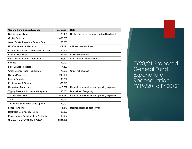| <b>General Fund Budget Expense</b>         | Variance     | <b>Note</b>                                     |                     |
|--------------------------------------------|--------------|-------------------------------------------------|---------------------|
| <b>Building Inspections</b>                | $-125,409$   | Reclassified some expenses to Facilities Maint. |                     |
| Capital Projects                           | 455,200      |                                                 |                     |
| Street Capital Projects - General Fund     | 50,000       |                                                 |                     |
| Non-Departmental Allocations               | $-372,090$   | All have been eliminated                        |                     |
| Contractual Services - Town Administration | $-40,604$    |                                                 |                     |
| Creeper Trail Project                      | $-794,595$   | Offset with revenue                             |                     |
| <b>Facilities Maintenance Department</b>   | 256,841      | Creation of new department                      |                     |
| Finance                                    | $-50,000$    |                                                 | FY20/21 Propose     |
| <b>Fleet Vehicle Reductions</b>            | $-17,400$    |                                                 | <b>General Fund</b> |
| Green Springs Road Realignment             | -479,672     | Offset with revenue                             |                     |
| <b>Historic Properties</b>                 | $-200,000$   |                                                 | Expenditure         |
| <b>Muster Grounds</b>                      | $-102,737$   |                                                 | Reconciliation -    |
| Public Works & Streets                     | $-55,318$    |                                                 |                     |
| <b>Recreation Reductions</b>               | $-1,015,602$ | Reductions in services and operating expenses   | FY19/20 to FY20     |
| Tipping Fees - Solid Waste Management      | 46,000       | Due to loss of recycling                        |                     |
| <b>Tourism Reductions</b>                  | $-671,573$   | Reductions in services and operating expenses   |                     |
| Travel                                     | $-45,011$    |                                                 |                     |
| Zoning and Subdivision Code Update         | 80,000       |                                                 |                     |
|                                            | 111,376      | Reclassification to debt service                |                     |
| Lease Payments                             |              |                                                 |                     |
| <b>Restricted Contingency Funds</b>        | 195,322      |                                                 |                     |
| Miscellaneous Adjustments to All Depts.    | $-48,967$    |                                                 |                     |

FY20/21 Proposed General Fund **Expenditure** Reconciliation - FY19/20 to FY20/21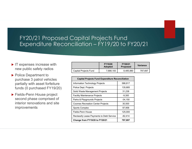## FY20/21 Proposed Capital Projects Fund<br>Expenditure Reconciliation – FY19/20 to FY20/21 EY20/21 Proposed Capital Projects Fund<br>Expenditure Reconciliation – FY19/20 to FY20/21 Capital Projects Fund<br>
Ciliation — FY19/20 to FY20/21<br>
Try1920 **FY2021**<br>
Try1920 FY2021 Variance<br>
Capital Projects Fund 7,688,183 8,485,880 797,697<br>
Capital Projects Fund Expenditure Reconciliation<br>
Information Technology

- $\blacktriangleright$  IT expenses increase with new public safety radios
- ▶ Police Department to purchase 3 patrol vehicles partially with asset forfeiture funds (0 purchased FY19/20)
- ▶ Fields-Penn House project second phase comprised of interior renovations and site improvements

|                       | <b>FY19/20</b><br><b>Adopted</b> | <b>FY20/21</b><br><b>Proposed</b> | Variance |
|-----------------------|----------------------------------|-----------------------------------|----------|
| Capital Projects Fund | 7,688,183                        | 8,485,880                         | 797.697  |

| Capital Projects Fund                                   |                           |                     |                 |
|---------------------------------------------------------|---------------------------|---------------------|-----------------|
| ciliation - FY19/20 to FY20/21                          |                           |                     |                 |
|                                                         |                           |                     |                 |
|                                                         |                           |                     |                 |
|                                                         |                           |                     |                 |
|                                                         |                           |                     |                 |
|                                                         | FY19/20<br><b>Adopted</b> | FY20/21<br>Proposed | <b>Variance</b> |
| Capital Projects Fund                                   | 7,688,183                 | 8,485,880           | 797,697         |
|                                                         |                           |                     |                 |
| <b>Capital Projects Fund Expenditure Reconciliation</b> |                           |                     |                 |
| Information Technology Projects                         |                           | 586,817             |                 |
| Police Dept. Projects                                   |                           | 135,685             |                 |
| Solid Waste Management Projects                         |                           | 31,238              |                 |
| <b>Facility Maintenance Projects</b>                    |                           | $-9,300$            |                 |
| Parks & Playgrounds Projects                            |                           | $-34,150$           |                 |
| <b>Coomes Recreation Center Projects</b>                |                           | 30,500              |                 |
| <b>Sports Complex</b>                                   |                           | 97,958              |                 |
|                                                         |                           | 125,000             |                 |
| Fields-Penn House                                       |                           |                     |                 |
| Reclassify Lease Payments to Debt Service               |                           | $-82,414$           |                 |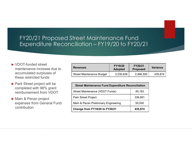# FY20/21 Proposed Street Maintenance Fund<br>Expenditure Reconciliation – FY19/20 to FY20/21 EY20/21 Proposed Street Maintenance Fund<br>Expenditure Reconciliation – FY19/20 to FY20/21

- ▶ VDOT-funded street maintenance increase due to accumulated surpluses of these restricted funds
- ▶ Park Street project will be completed with 98% grant reimbursement from VDOT
- Main & Pecan project expenses from General Fund contribution

| <u>Street Maintenance Fund</u><br>ciliation $-$ FY19/20 to FY20/21 |                                  |                            |                 |  |
|--------------------------------------------------------------------|----------------------------------|----------------------------|-----------------|--|
| <b>Revenues</b>                                                    | <b>FY19/20</b><br><b>Adopted</b> | FY20/21<br><b>Proposed</b> | <b>Variance</b> |  |
| <b>Street Maintenance Budget</b>                                   | 2,030,626                        | 2,466,500                  | 435,874         |  |
| <b>Street Maintenance Fund Expenditure Reconciliation</b>          |                                  |                            |                 |  |
|                                                                    |                                  |                            |                 |  |

| Street Maintenance Fund                                   |                                  |                            |                 |
|-----------------------------------------------------------|----------------------------------|----------------------------|-----------------|
| ciliation – FY19/20 to FY20/21                            |                                  |                            |                 |
|                                                           |                                  |                            |                 |
|                                                           |                                  |                            |                 |
| <b>Revenues</b>                                           | <b>FY19/20</b><br><b>Adopted</b> | FY20/21<br><b>Proposed</b> | <b>Variance</b> |
| <b>Street Maintenance Budget</b>                          | 2,030,626                        | 2,466,500                  | 435,874         |
|                                                           |                                  |                            |                 |
| <b>Street Maintenance Fund Expenditure Reconciliation</b> |                                  |                            |                 |
| Street Maintenance (VDOT Funds)                           |                                  | 49,183                     |                 |
| Park Street Project                                       |                                  | 336,691                    |                 |
| Main & Pecan Preliminary Engineering                      |                                  | 50,000                     |                 |
|                                                           |                                  |                            |                 |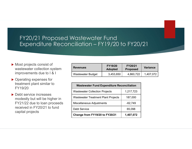# FY20/21 Proposed Wastewater Fund<br>Expenditure Reconciliation – FY19/20 to FY20/21 EY20/21 Proposed Wastewater Fund<br>Expenditure Reconciliation – FY19/20 to FY20/21

- Most projects consist of wastewater collection system improvements due to I & I
- ▶ Operating expenses for treatment plant similar to FY19/20
- ▶ Debt service increases modestly but will be higher in FY21/22 due to loan proceeds received in FY20/21 to fund capital projects

| Wastewater Fund<br>iciliation - FY19/20 to FY20/21 |                           |                            |                 |  |  |
|----------------------------------------------------|---------------------------|----------------------------|-----------------|--|--|
|                                                    |                           |                            |                 |  |  |
|                                                    |                           |                            |                 |  |  |
| <b>Revenues</b>                                    | FY19/20<br><b>Adopted</b> | FY20/21<br><b>Proposed</b> | <b>Variance</b> |  |  |
| <b>Wastewater Budget</b>                           | 3,453,650                 | 4,860,722                  | 1,407,072       |  |  |
|                                                    |                           |                            |                 |  |  |
| <b>Wastewater Fund Expenditure Reconciliation</b>  |                           |                            |                 |  |  |
|                                                    |                           |                            |                 |  |  |